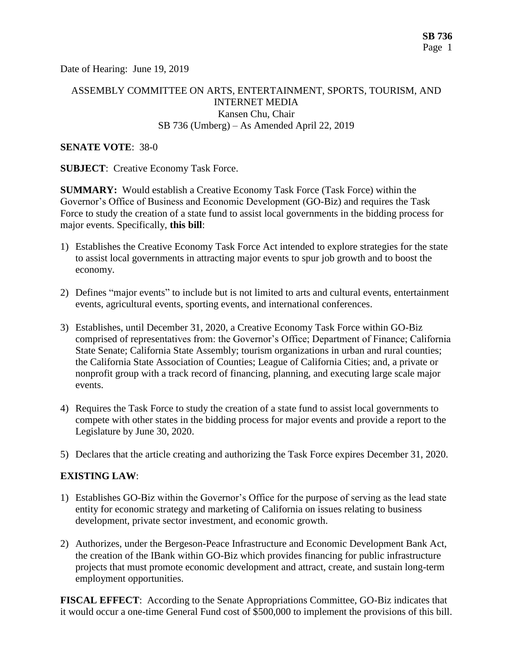Date of Hearing: June 19, 2019

# ASSEMBLY COMMITTEE ON ARTS, ENTERTAINMENT, SPORTS, TOURISM, AND INTERNET MEDIA Kansen Chu, Chair SB 736 (Umberg) – As Amended April 22, 2019

#### **SENATE VOTE**: 38-0

**SUBJECT:** Creative Economy Task Force.

**SUMMARY:** Would establish a Creative Economy Task Force (Task Force) within the Governor's Office of Business and Economic Development (GO-Biz) and requires the Task Force to study the creation of a state fund to assist local governments in the bidding process for major events. Specifically, **this bill**:

- 1) Establishes the Creative Economy Task Force Act intended to explore strategies for the state to assist local governments in attracting major events to spur job growth and to boost the economy.
- 2) Defines "major events" to include but is not limited to arts and cultural events, entertainment events, agricultural events, sporting events, and international conferences.
- 3) Establishes, until December 31, 2020, a Creative Economy Task Force within GO-Biz comprised of representatives from: the Governor's Office; Department of Finance; California State Senate; California State Assembly; tourism organizations in urban and rural counties; the California State Association of Counties; League of California Cities; and, a private or nonprofit group with a track record of financing, planning, and executing large scale major events.
- 4) Requires the Task Force to study the creation of a state fund to assist local governments to compete with other states in the bidding process for major events and provide a report to the Legislature by June 30, 2020.
- 5) Declares that the article creating and authorizing the Task Force expires December 31, 2020.

### **EXISTING LAW**:

- 1) Establishes GO-Biz within the Governor's Office for the purpose of serving as the lead state entity for economic strategy and marketing of California on issues relating to business development, private sector investment, and economic growth.
- 2) Authorizes, under the Bergeson-Peace Infrastructure and Economic Development Bank Act, the creation of the IBank within GO-Biz which provides financing for public infrastructure projects that must promote economic development and attract, create, and sustain long-term employment opportunities.

**FISCAL EFFECT**: According to the Senate Appropriations Committee, GO-Biz indicates that it would occur a one-time General Fund cost of \$500,000 to implement the provisions of this bill.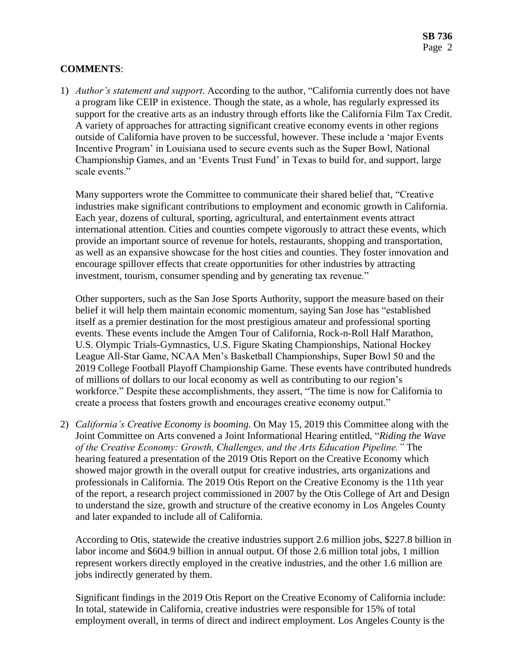# **COMMENTS**:

1) *Author's statement and support*. According to the author, "California currently does not have a program like CEIP in existence. Though the state, as a whole, has regularly expressed its support for the creative arts as an industry through efforts like the California Film Tax Credit. A variety of approaches for attracting significant creative economy events in other regions outside of California have proven to be successful, however. These include a 'major Events Incentive Program' in Louisiana used to secure events such as the Super Bowl, National Championship Games, and an 'Events Trust Fund' in Texas to build for, and support, large scale events."

Many supporters wrote the Committee to communicate their shared belief that, "Creative industries make significant contributions to employment and economic growth in California. Each year, dozens of cultural, sporting, agricultural, and entertainment events attract international attention. Cities and counties compete vigorously to attract these events, which provide an important source of revenue for hotels, restaurants, shopping and transportation, as well as an expansive showcase for the host cities and counties. They foster innovation and encourage spillover effects that create opportunities for other industries by attracting investment, tourism, consumer spending and by generating tax revenue."

Other supporters, such as the San Jose Sports Authority, support the measure based on their belief it will help them maintain economic momentum, saying San Jose has "established itself as a premier destination for the most prestigious amateur and professional sporting events. These events include the Amgen Tour of California, Rock-n-Roll Half Marathon, U.S. Olympic Trials-Gymnastics, U.S. Figure Skating Championships, National Hockey League All-Star Game, NCAA Men's Basketball Championships, Super Bowl 50 and the 2019 College Football Playoff Championship Game. These events have contributed hundreds of millions of dollars to our local economy as well as contributing to our region's workforce." Despite these accomplishments, they assert, "The time is now for California to create a process that fosters growth and encourages creative economy output."

2) *California's Creative Economy is booming*. On May 15, 2019 this Committee along with the Joint Committee on Arts convened a Joint Informational Hearing entitled, "*Riding the Wave of the Creative Economy: Growth, Challenges, and the Arts Education Pipeline."* The hearing featured a presentation of the 2019 Otis Report on the Creative Economy which showed major growth in the overall output for creative industries, arts organizations and professionals in California. The 2019 Otis Report on the Creative Economy is the 11th year of the report, a research project commissioned in 2007 by the Otis College of Art and Design to understand the size, growth and structure of the creative economy in Los Angeles County and later expanded to include all of California.

According to Otis, statewide the creative industries support 2.6 million jobs, \$227.8 billion in labor income and \$604.9 billion in annual output. Of those 2.6 million total jobs, 1 million represent workers directly employed in the creative industries, and the other 1.6 million are jobs indirectly generated by them.

Significant findings in the 2019 Otis Report on the Creative Economy of California include: In total, statewide in California, creative industries were responsible for 15% of total employment overall, in terms of direct and indirect employment. Los Angeles County is the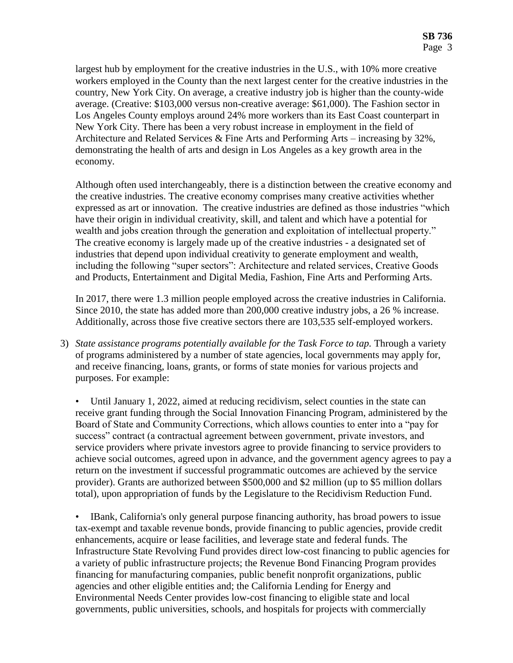largest hub by employment for the creative industries in the U.S., with 10% more creative workers employed in the County than the next largest center for the creative industries in the country, New York City. On average, a creative industry job is higher than the county-wide average. (Creative: \$103,000 versus non-creative average: \$61,000). The Fashion sector in Los Angeles County employs around 24% more workers than its East Coast counterpart in New York City. There has been a very robust increase in employment in the field of Architecture and Related Services & Fine Arts and Performing Arts – increasing by 32%, demonstrating the health of arts and design in Los Angeles as a key growth area in the economy.

Although often used interchangeably, there is a distinction between the creative economy and the creative industries. The creative economy comprises many creative activities whether expressed as art or innovation. The creative industries are defined as those industries "which have their origin in individual creativity, skill, and talent and which have a potential for wealth and jobs creation through the generation and exploitation of intellectual property." The creative economy is largely made up of the creative industries - a designated set of industries that depend upon individual creativity to generate employment and wealth, including the following "super sectors": Architecture and related services, Creative Goods and Products, Entertainment and Digital Media, Fashion, Fine Arts and Performing Arts.

In 2017, there were 1.3 million people employed across the creative industries in California. Since 2010, the state has added more than 200,000 creative industry jobs, a 26 % increase. Additionally, across those five creative sectors there are 103,535 self-employed workers.

3) *State assistance programs potentially available for the Task Force to tap.* Through a variety of programs administered by a number of state agencies, local governments may apply for, and receive financing, loans, grants, or forms of state monies for various projects and purposes. For example:

• Until January 1, 2022, aimed at reducing recidivism, select counties in the state can receive grant funding through the Social Innovation Financing Program, administered by the Board of State and Community Corrections, which allows counties to enter into a "pay for success" contract (a contractual agreement between government, private investors, and service providers where private investors agree to provide financing to service providers to achieve social outcomes, agreed upon in advance, and the government agency agrees to pay a return on the investment if successful programmatic outcomes are achieved by the service provider). Grants are authorized between \$500,000 and \$2 million (up to \$5 million dollars total), upon appropriation of funds by the Legislature to the Recidivism Reduction Fund.

• IBank, California's only general purpose financing authority, has broad powers to issue tax-exempt and taxable revenue bonds, provide financing to public agencies, provide credit enhancements, acquire or lease facilities, and leverage state and federal funds. The Infrastructure State Revolving Fund provides direct low-cost financing to public agencies for a variety of public infrastructure projects; the Revenue Bond Financing Program provides financing for manufacturing companies, public benefit nonprofit organizations, public agencies and other eligible entities and; the California Lending for Energy and Environmental Needs Center provides low-cost financing to eligible state and local governments, public universities, schools, and hospitals for projects with commercially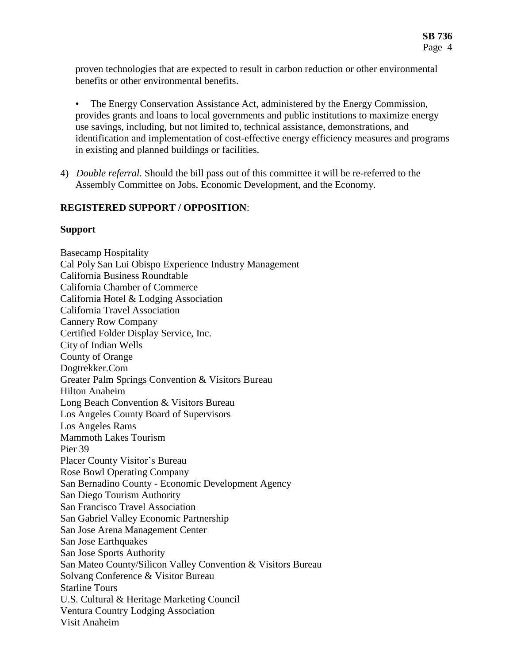proven technologies that are expected to result in carbon reduction or other environmental benefits or other environmental benefits.

- The Energy Conservation Assistance Act, administered by the Energy Commission, provides grants and loans to local governments and public institutions to maximize energy use savings, including, but not limited to, technical assistance, demonstrations, and identification and implementation of cost-effective energy efficiency measures and programs in existing and planned buildings or facilities.
- 4) *Double referral*. Should the bill pass out of this committee it will be re-referred to the Assembly Committee on Jobs, Economic Development, and the Economy.

### **REGISTERED SUPPORT / OPPOSITION**:

#### **Support**

Basecamp Hospitality Cal Poly San Lui Obispo Experience Industry Management California Business Roundtable California Chamber of Commerce California Hotel & Lodging Association California Travel Association Cannery Row Company Certified Folder Display Service, Inc. City of Indian Wells County of Orange Dogtrekker.Com Greater Palm Springs Convention & Visitors Bureau Hilton Anaheim Long Beach Convention & Visitors Bureau Los Angeles County Board of Supervisors Los Angeles Rams Mammoth Lakes Tourism Pier 39 Placer County Visitor's Bureau Rose Bowl Operating Company San Bernadino County - Economic Development Agency San Diego Tourism Authority San Francisco Travel Association San Gabriel Valley Economic Partnership San Jose Arena Management Center San Jose Earthquakes San Jose Sports Authority San Mateo County/Silicon Valley Convention & Visitors Bureau Solvang Conference & Visitor Bureau Starline Tours U.S. Cultural & Heritage Marketing Council Ventura Country Lodging Association Visit Anaheim